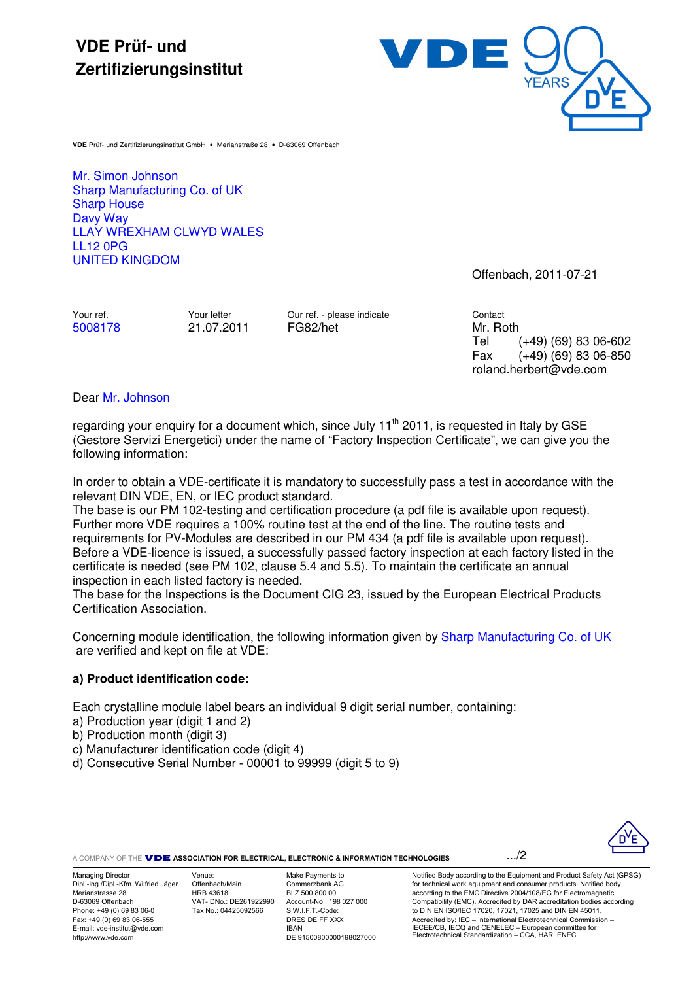## **VDE Prüf- und Zertifizierungsinstitut**



**VDE** Prüf- und Zertifizierungsinstitut GmbH • Merianstraße 28 • D-63069 Offenbach

Mr. Simon Johnson Sharp Manufacturing Co. of UK Sharp House Davy Way LLAY WREXHAM CLWYD WALES LL12 0PG UNITED KINGDOM

Offenbach, 2011-07-21

Your ref. Your letter Our ref. - please indicate Contact 5008178 21.07.2011 FG82/het Mr. Roth

Tel (+49) (69) 83 06-602 Fax (+49) (69) 83 06-850 roland.herbert@vde.com

Dear Mr. Johnson

regarding your enquiry for a document which, since July  $11<sup>th</sup>$  2011, is requested in Italy by GSE (Gestore Servizi Energetici) under the name of "Factory Inspection Certificate", we can give you the following information:

In order to obtain a VDE-certificate it is mandatory to successfully pass a test in accordance with the relevant DIN VDE, EN, or IEC product standard.

The base is our PM 102-testing and certification procedure (a pdf file is available upon request). Further more VDE requires a 100% routine test at the end of the line. The routine tests and requirements for PV-Modules are described in our PM 434 (a pdf file is available upon request). Before a VDE-licence is issued, a successfully passed factory inspection at each factory listed in the certificate is needed (see PM 102, clause 5.4 and 5.5). To maintain the certificate an annual inspection in each listed factory is needed.

The base for the Inspections is the Document CIG 23, issued by the European Electrical Products Certification Association.

Concerning module identification, the following information given by Sharp Manufacturing Co. of UK are verified and kept on file at VDE:

## **a) Product identification code:**

Each crystalline module label bears an individual 9 digit serial number, containing:

- a) Production year (digit 1 and 2)
- b) Production month (digit 3)
- c) Manufacturer identification code (digit 4)
- d) Consecutive Serial Number 00001 to 99999 (digit 5 to 9)

A COMPANY OF THE **VDE ASSOCIATION FOR ELECTRICAL, ELECTRONIC & INFORMATION TECHNOLOGIES** ....<sup>2</sup>



Managing Director Dipl.-Ing./Dipl.-Kfm. Wilfried Jäger Merianstrasse 28 D-63069 Offenbach Phone: +49 (0) 69 83 06-0 Fax: +49 (0) 69 83 06-555 E-mail: vde-institut@vde.com http://www.vde.com

Venue: Offenbach/Main HRB 43618 VAT-IDNo.: DE261922990 Tax No.: 04425092566

Make Payments to Commerzbank AG BLZ 500 800 00 Account-No.: 198 027 000 S.W.I.F.T.-Code: DRES DE FF XXX IBAN DE 91500800000198027000 Notified Body according to the Equipment and Product Safety Act (GPSG) for technical work equipment and consumer products. Notified body according to the EMC Directive 2004/108/EG for Electromagnetic Compatibility (EMC). Accredited by DAR accreditation bodies according to DIN EN ISO/IEC 17020, 17021, 17025 and DIN EN 45011. Accredited by: IEC – International Electrotechnical Commission – IECEE/CB, IECQ and CENELEC – European committee for Electrotechnical Standardization – CCA, HAR, ENEC.